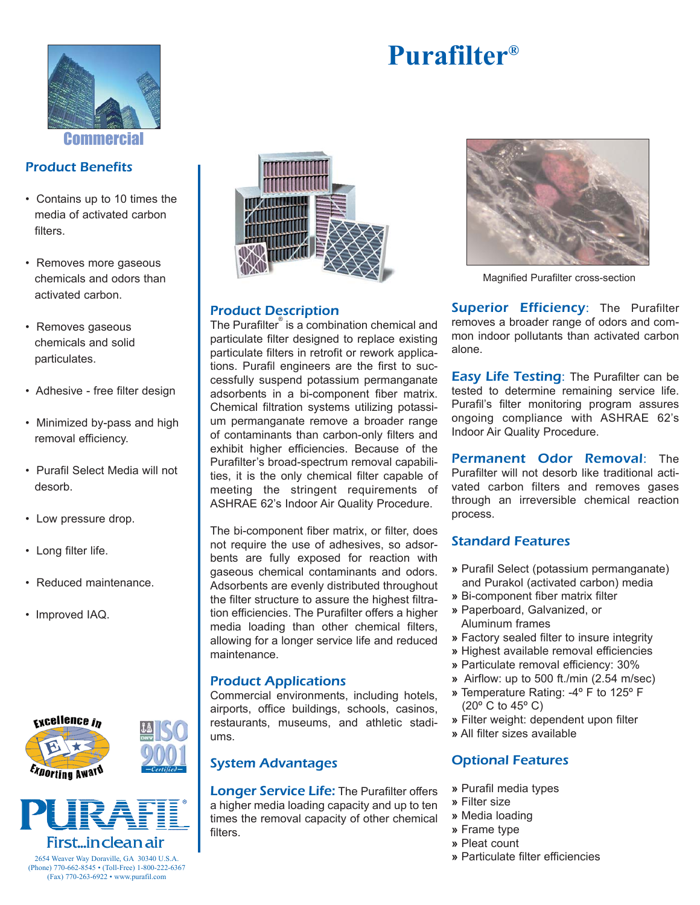

**Commercia** 

# Product Benefits

- Contains up to 10 times the media of activated carbon filters.
- Removes more gaseous chemicals and odors than activated carbon.
- Removes gaseous chemicals and solid particulates.
- Adhesive free filter design
- Minimized by-pass and high removal efficiency.
- Purafil Select Media will not desorb.
- Low pressure drop.
- Long filter life.
- Reduced maintenance.
- Improved IAQ.





# First…in clean air

# Product Description

The Purafilter® is a combination chemical and particulate filter designed to replace existing particulate filters in retrofit or rework applications. Purafil engineers are the first to successfully suspend potassium permanganate adsorbents in a bi-component fiber matrix. Chemical filtration systems utilizing potassium permanganate remove a broader range of contaminants than carbon-only filters and exhibit higher efficiencies. Because of the Purafilter's broad-spectrum removal capabilities, it is the only chemical filter capable of meeting the stringent requirements of ASHRAE 62's Indoor Air Quality Procedure.

The bi-component fiber matrix, or filter, does not require the use of adhesives, so adsorbents are fully exposed for reaction with gaseous chemical contaminants and odors. Adsorbents are evenly distributed throughout the filter structure to assure the highest filtration efficiencies. The Purafilter offers a higher media loading than other chemical filters, allowing for a longer service life and reduced maintenance.

#### Product Applications

Commercial environments, including hotels, airports, office buildings, schools, casinos, restaurants, museums, and athletic stadiums.

#### System Advantages

**Longer Service Life: The Purafilter offers** a higher media loading capacity and up to ten times the removal capacity of other chemical filters.



Magnified Purafilter cross-section

Superior Efficiency: The Purafilter removes a broader range of odors and common indoor pollutants than activated carbon alone.

**Easy Life Testing:** The Purafilter can be tested to determine remaining service life. Purafil's filter monitoring program assures ongoing compliance with ASHRAE 62's Indoor Air Quality Procedure.

Permanent Odor Removal: The Purafilter will not desorb like traditional activated carbon filters and removes gases through an irreversible chemical reaction process.

# Standard Features

- **»** Purafil Select (potassium permanganate) and Purakol (activated carbon) media
- **»** Bi-component fiber matrix filter
- **»** Paperboard, Galvanized, or Aluminum frames
- **»** Factory sealed filter to insure integrity
- **»** Highest available removal efficiencies
- **»** Particulate removal efficiency: 30%
- **»** Airflow: up to 500 ft./min (2.54 m/sec)
- **»** Temperature Rating: -4º F to 125º F (20º C to 45º C)
- **»** Filter weight: dependent upon filter
- **»** All filter sizes available

# Optional Features

- **»** Purafil media types
- **»** Filter size
- **»** Media loading
- **»** Frame type
- **»** Pleat count
- **»** Particulate filter efficiencies

2654 Weaver Way Doraville, GA 30340 U.S.A. (Phone) 770-662-8545 • (Toll-Free) 1-800-222-6367 (Fax) 770-263-6922 • www.purafil.com

# **Purafilter®**